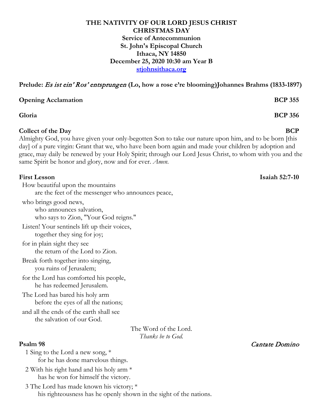### **THE NATIVITY OF OUR LORD JESUS CHRIST CHRISTMAS DAY Service of Antecommunion St. John's Episcopal Church Ithaca, NY 14850 December 25, 2020 10:30 am Year B stjohnsithaca.org**

**Prelude:** Es ist ein' Ros' entsprungen **(Lo, how a rose e're blooming)Johannes Brahms (1833-1897)**

**Opening Acclamation BCP 355** 

**Gloria BCP 356**

## **Collect of the Day BCP**

Almighty God, you have given your only-begotten Son to take our nature upon him, and to be born [this day] of a pure virgin: Grant that we, who have been born again and made your children by adoption and grace, may daily be renewed by your Holy Spirit; through our Lord Jesus Christ, to whom with you and the same Spirit be honor and glory, now and for ever. *Amen*.

How beautiful upon the mountains

are the feet of the messenger who announces peace,

who brings good news,

who announces salvation, who says to Zion, "Your God reigns."

Listen! Your sentinels lift up their voices, together they sing for joy;

for in plain sight they see the return of the Lord to Zion.

Break forth together into singing, you ruins of Jerusalem;

for the Lord has comforted his people, he has redeemed Jerusalem.

The Lord has bared his holy arm before the eyes of all the nations;

and all the ends of the earth shall see the salvation of our God.

> The Word of the Lord. *Thanks be to God.*

1 Sing to the Lord a new song, \* for he has done marvelous things.

2 With his right hand and his holy arm \* has he won for himself the victory.

3 The Lord has made known his victory; \* his righteousness has he openly shown in the sight of the nations.

**Psalm 98** Cantate Domino

**First Lesson Isaiah 52:7-10**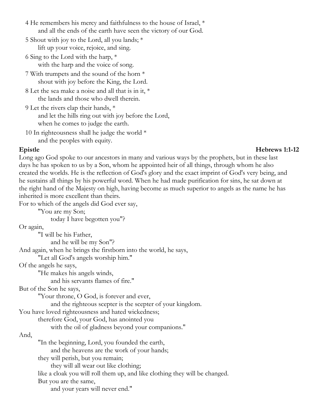- 4 He remembers his mercy and faithfulness to the house of Israel, \* and all the ends of the earth have seen the victory of our God.
- 5 Shout with joy to the Lord, all you lands; \* lift up your voice, rejoice, and sing.
- 6 Sing to the Lord with the harp, \* with the harp and the voice of song.
- 7 With trumpets and the sound of the horn \* shout with joy before the King, the Lord.
- 8 Let the sea make a noise and all that is in it, \* the lands and those who dwell therein.
- 9 Let the rivers clap their hands, \* and let the hills ring out with joy before the Lord, when he comes to judge the earth.
- 10 In righteousness shall he judge the world  $*$ and the peoples with equity.

### **Epistle Hebrews 1:1-12**

Long ago God spoke to our ancestors in many and various ways by the prophets, but in these last days he has spoken to us by a Son, whom he appointed heir of all things, through whom he also created the worlds. He is the reflection of God's glory and the exact imprint of God's very being, and he sustains all things by his powerful word. When he had made purification for sins, he sat down at the right hand of the Majesty on high, having become as much superior to angels as the name he has inherited is more excellent than theirs.

For to which of the angels did God ever say,

"You are my Son;

today I have begotten you"?

### Or again,

"I will be his Father, and he will be my Son"?

And again, when he brings the firstborn into the world, he says,

"Let all God's angels worship him."

### Of the angels he says,

"He makes his angels winds,

and his servants flames of fire."

But of the Son he says,

"Your throne, O God, is forever and ever,

and the righteous scepter is the scepter of your kingdom.

You have loved righteousness and hated wickedness;

therefore God, your God, has anointed you

with the oil of gladness beyond your companions."

### And,

"In the beginning, Lord, you founded the earth,

and the heavens are the work of your hands;

they will perish, but you remain;

they will all wear out like clothing;

like a cloak you will roll them up, and like clothing they will be changed.

But you are the same,

and your years will never end."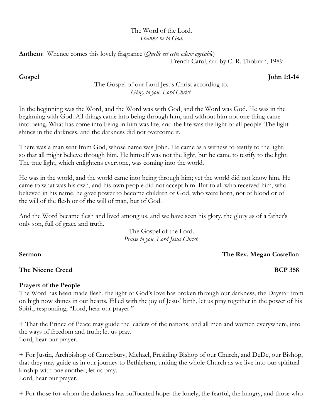## The Word of the Lord. *Thanks be to God.*

**Anthem**: Whence comes this lovely fragrance (*Quelle est cette odeur agréable*) French Carol, arr. by C. R. Thoburn, 1989

# **Gospel John 1:1-14**

# The Gospel of our Lord Jesus Christ according to. *Glory to you, Lord Christ.*

In the beginning was the Word, and the Word was with God, and the Word was God. He was in the beginning with God. All things came into being through him, and without him not one thing came into being. What has come into being in him was life, and the life was the light of all people. The light shines in the darkness, and the darkness did not overcome it.

There was a man sent from God, whose name was John. He came as a witness to testify to the light, so that all might believe through him. He himself was not the light, but he came to testify to the light. The true light, which enlightens everyone, was coming into the world.

He was in the world, and the world came into being through him; yet the world did not know him. He came to what was his own, and his own people did not accept him. But to all who received him, who believed in his name, he gave power to become children of God, who were born, not of blood or of the will of the flesh or of the will of man, but of God.

And the Word became flesh and lived among us, and we have seen his glory, the glory as of a father's only son, full of grace and truth.

> The Gospel of the Lord. *Praise to you, Lord Jesus Christ.*

**Sermon The Rev. Megan Castellan**

# **The Nicene Creed BCP 358**

# **Prayers of the People**

The Word has been made flesh, the light of God's love has broken through our darkness, the Daystar from on high now shines in our hearts. Filled with the joy of Jesus' birth, let us pray together in the power of his Spirit, responding, "Lord, hear our prayer."

+ That the Prince of Peace may guide the leaders of the nations, and all men and women everywhere, into the ways of freedom and truth; let us pray. Lord, hear our prayer.

+ For Justin, Archbishop of Canterbury, Michael, Presiding Bishop of our Church, and DeDe, our Bishop, that they may guide us in our journey to Bethlehem, uniting the whole Church as we live into our spiritual kinship with one another; let us pray.

Lord, hear our prayer.

+ For those for whom the darkness has suffocated hope: the lonely, the fearful, the hungry, and those who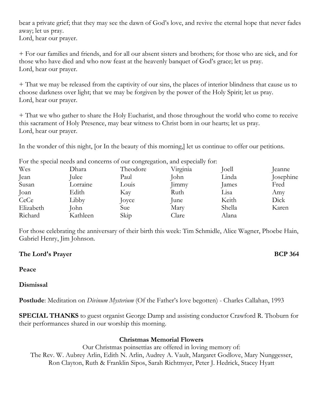bear a private grief; that they may see the dawn of God's love, and revive the eternal hope that never fades away; let us pray.

Lord, hear our prayer.

+ For our families and friends, and for all our absent sisters and brothers; for those who are sick, and for those who have died and who now feast at the heavenly banquet of God's grace; let us pray. Lord, hear our prayer.

+ That we may be released from the captivity of our sins, the places of interior blindness that cause us to choose darkness over light; that we may be forgiven by the power of the Holy Spirit; let us pray. Lord, hear our prayer.

+ That we who gather to share the Holy Eucharist, and those throughout the world who come to receive this sacrament of Holy Presence, may bear witness to Christ born in our hearts; let us pray. Lord, hear our prayer.

In the wonder of this night, [or In the beauty of this morning,] let us continue to offer our petitions.

For the special needs and concerns of our congregation, and especially for:

| Wes       | Dhara    | Theodore | Virginia | Joell  | eanne     |
|-----------|----------|----------|----------|--------|-----------|
| Jean      | Julee    | Paul     | John     | Linda  | Josephine |
| Susan     | Lorraine | Louis    | 1mmy     | James  | Fred      |
| Joan      | Edith    | Kay      | Ruth     | Lisa   | Amy       |
| CeCe      | Libby    | Joyce    | June     | Keith  | Dick      |
| Elizabeth | John     | Sue      | Mary     | Shella | Karen     |
| Richard   | Kathleen | Skip     | Clare    | Alana  |           |

For those celebrating the anniversary of their birth this week: Tim Schmidle, Alice Wagner, Phoebe Hain, Gabriel Henry, Jim Johnson.

## **The Lord's Prayer BCP 364**

### **Peace**

## **Dismissal**

**Postlude**: Meditation on *Divinum Mysterium* (Of the Father's love begotten) - Charles Callahan, 1993

**SPECIAL THANKS** to guest organist George Damp and assisting conductor Crawford R. Thoburn for their performances shared in our worship this morning.

## **Christmas Memorial Flowers**

Our Christmas poinsettias are offered in loving memory of: The Rev. W. Aubrey Arlin, Edith N. Arlin, Audrey A. Vault, Margaret Godlove, Mary Nunggesser, Ron Clayton, Ruth & Franklin Sipos, Sarah Richtmyer, Peter J. Hedrick, Stacey Hyatt